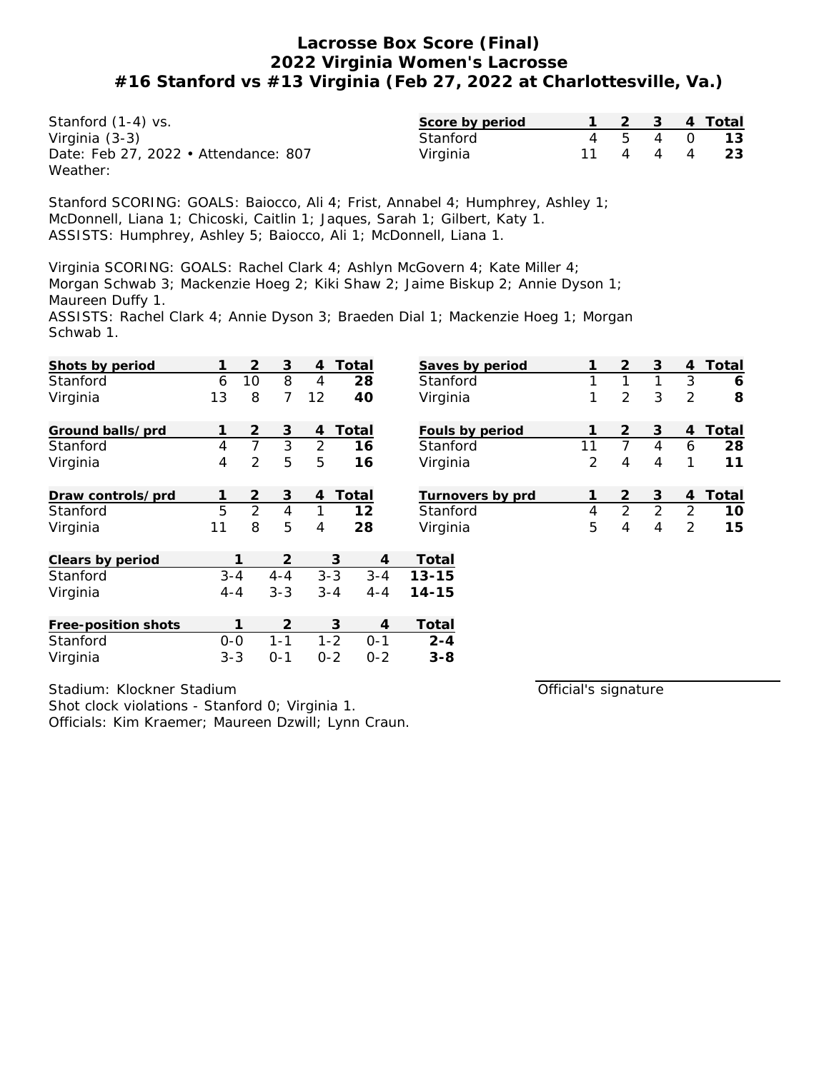| Stanford (1-4) vs.                   | Score by period |          |  | 2  3  4 Total |
|--------------------------------------|-----------------|----------|--|---------------|
| Virginia (3-3)                       | Stanford        |          |  | 4 5 4 0 13    |
| Date: Feb 27, 2022 • Attendance: 807 | Virginia        | 11 4 4 4 |  | - 23          |
| Weather:                             |                 |          |  |               |

Stanford SCORING: GOALS: Baiocco, Ali 4; Frist, Annabel 4; Humphrey, Ashley 1; McDonnell, Liana 1; Chicoski, Caitlin 1; Jaques, Sarah 1; Gilbert, Katy 1. ASSISTS: Humphrey, Ashley 5; Baiocco, Ali 1; McDonnell, Liana 1.

Virginia SCORING: GOALS: Rachel Clark 4; Ashlyn McGovern 4; Kate Miller 4; Morgan Schwab 3; Mackenzie Hoeg 2; Kiki Shaw 2; Jaime Biskup 2; Annie Dyson 1; Maureen Duffy 1.

ASSISTS: Rachel Clark 4; Annie Dyson 3; Braeden Dial 1; Mackenzie Hoeg 1; Morgan Schwab 1.

| Shots by period     |         | 2              | 3       | 4       | Total              | Saves by period  |                | $\overline{2}$ | 3              | $\overline{4}$ | Total |
|---------------------|---------|----------------|---------|---------|--------------------|------------------|----------------|----------------|----------------|----------------|-------|
| Stanford            | 6       | 10             | 8       | 4       | 28                 | Stanford         | 1              | 1              |                | 3              | 6     |
| Virginia            | 13      | 8              | 7       | 12      | 40                 | Virginia         | 1              | $\overline{2}$ | 3              | 2              | 8     |
| Ground balls/prd    |         | $\overline{2}$ | 3       | 4       | Total              | Fouls by period  | 1              | $\overline{2}$ | 3              | $\overline{4}$ | Total |
| Stanford            | 4       | $\overline{7}$ | 3       | 2       | 16                 | Stanford         | 11             | $\overline{7}$ | 4              | 6              | 28    |
| Virginia            | 4       | $\overline{2}$ | 5       | 5       | 16                 | Virginia         | 2              | 4              | 4              | 1              | 11    |
| Draw controls/prd   |         | 2              | 3       | 4       | Total              | Turnovers by prd | 1              | $\overline{2}$ | 3              | 4              | Total |
| Stanford            | 5       | $\overline{2}$ | 4       |         | 12                 | Stanford         | $\overline{4}$ | $\overline{2}$ | $\overline{2}$ | 2              | 10    |
| Virginia            | 11      | 8              | 5       | 4       | 28                 | Virginia         | 5              | 4              | 4              | 2              | 15    |
| Clears by period    |         |                | 2       |         | 3                  | Total<br>4       |                |                |                |                |       |
| Stanford            | $3 - 4$ |                | $4 - 4$ |         | $3 - 3$<br>$3 - 4$ | $13 - 15$        |                |                |                |                |       |
| Virginia            | $4 - 4$ |                | $3 - 3$ |         | $3 - 4$<br>$4 - 4$ | $14 - 15$        |                |                |                |                |       |
| Free-position shots |         |                | 2       |         | 3                  | Total<br>4       |                |                |                |                |       |
| Stanford            | $0 - 0$ |                | $1 - 1$ |         | $1 - 2$<br>$0 - 1$ | $2 - 4$          |                |                |                |                |       |
| Virginia            | $3 - 3$ |                | $O - 1$ | $0 - 2$ | $0 - 2$            | $3 - 8$          |                |                |                |                |       |

Stadium: Klockner Stadium

Shot clock violations - Stanford 0; Virginia 1. Officials: Kim Kraemer; Maureen Dzwill; Lynn Craun. Official's signature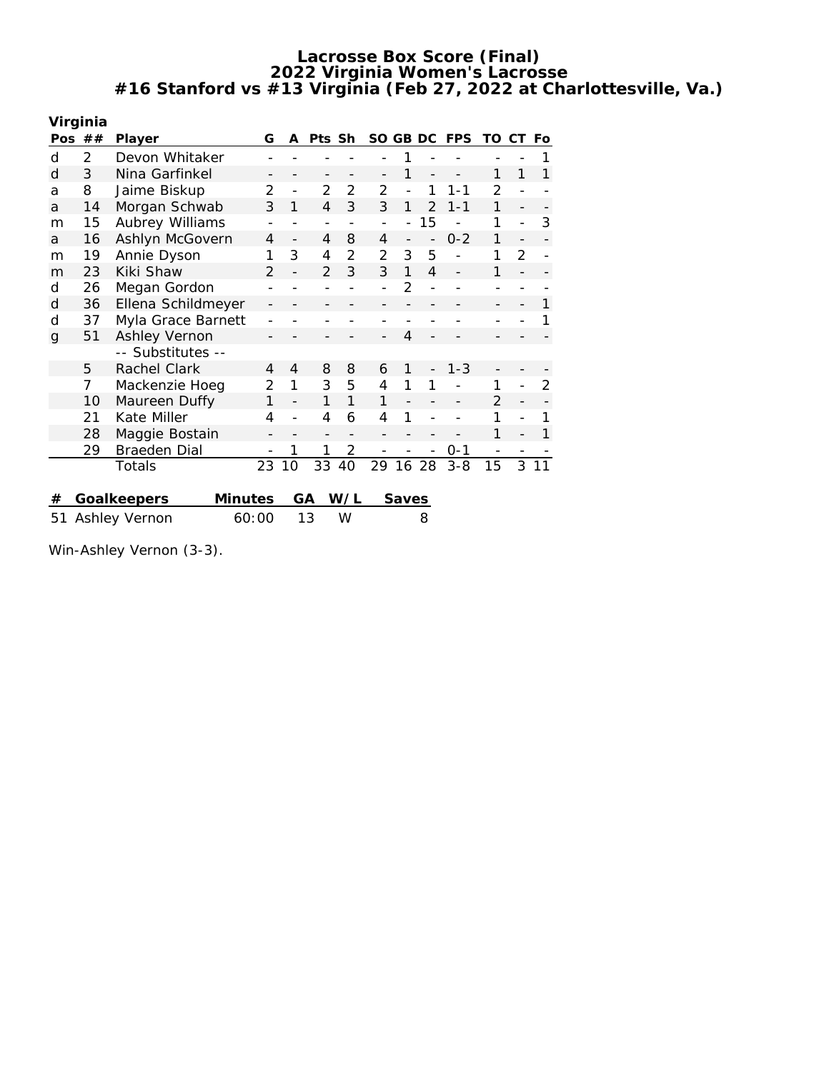|    | Virginia |                        |               |                          |                   |                |                |       |                |            |                |    |     |
|----|----------|------------------------|---------------|--------------------------|-------------------|----------------|----------------|-------|----------------|------------|----------------|----|-----|
|    | Pos $##$ | Player                 | G             | A                        | Pts Sh            |                | SO GB DC       |       |                | <b>FPS</b> | TO             | CT | Fo. |
| d  | 2        | Devon Whitaker         |               |                          |                   |                |                |       |                |            |                |    |     |
| d  | 3        | Nina Garfinkel         |               |                          |                   |                |                | 1     |                |            | 1              | 1  |     |
| а  | 8        | Jaime Biskup           | 2             | $\overline{a}$           | $\mathcal{P}$     | 2              | $\overline{2}$ |       | 1              | $1 - 1$    | $\mathfrak{D}$ |    |     |
| a  | 14       | Morgan Schwab          | 3             | 1                        | 4                 | 3              | 3              | 1     | $\mathcal{P}$  | $1 - 1$    | 1              |    |     |
| m  | 15       | Aubrey Williams        |               |                          | $\qquad \qquad -$ |                | $\overline{a}$ |       | 15             |            | 1              |    | 3   |
| a  | 16       | Ashlyn McGovern        | 4             | $\overline{\phantom{0}}$ | 4                 | 8              | 4              |       | $\overline{a}$ | $0 - 2$    | 1              |    |     |
| m  | 19       | Annie Dyson            | 1             | 3                        | 4                 | 2              | $\overline{2}$ | 3     | 5              |            | 1              | 2  |     |
| m  | 23       | Kiki Shaw              | $\mathcal{P}$ |                          | $\mathfrak{D}$    | 3              | 3              | 1     | $\overline{4}$ |            | 1              |    |     |
| d  | 26       | Megan Gordon           |               |                          |                   |                |                | 2     |                |            |                |    |     |
| d  | 36       | Ellena Schildmeyer     |               |                          |                   |                |                |       |                |            |                |    | 1   |
| d  | 37       | Myla Grace Barnett     |               |                          |                   |                |                |       |                |            |                |    |     |
| g  | 51       | Ashley Vernon          |               |                          |                   |                |                | 4     |                |            |                |    |     |
|    |          | -- Substitutes --      |               |                          |                   |                |                |       |                |            |                |    |     |
|    | 5        | Rachel Clark           | 4             | 4                        | 8                 | 8              | 6              | 1     |                | $1 - 3$    |                |    |     |
|    | 7        | Mackenzie Hoeg         | 2             | 1                        | 3                 | 5              | 4              | 1     | 1              |            | 1              |    | 2   |
|    | 10       | Maureen Duffy          | 1             |                          | 1                 | 1              | 1              |       |                |            | $\mathcal{P}$  |    |     |
|    | 21       | Kate Miller            | 4             |                          | 4                 | 6              | 4              | 1     |                |            | 1              |    |     |
|    | 28       | Maggie Bostain         |               |                          |                   |                |                |       |                |            | 1              |    |     |
|    | 29       | Braeden Dial           |               | 1                        | 1                 | $\overline{2}$ |                |       |                | $0 - 1$    |                |    |     |
|    |          | Totals                 | 23            | 10                       | 33                | 40             | 29             | 16    | 28             | $3 - 8$    | 15             | 3  | 11  |
|    |          |                        |               |                          |                   |                |                |       |                |            |                |    |     |
| #  |          | Goalkeepers<br>Minutes |               |                          | GА                | W/L            |                | Saves |                |            |                |    |     |
| 51 |          | Ashley Vernon          | 60:00         |                          | 13                | W              |                |       | 8              |            |                |    |     |

Win-Ashley Vernon (3-3).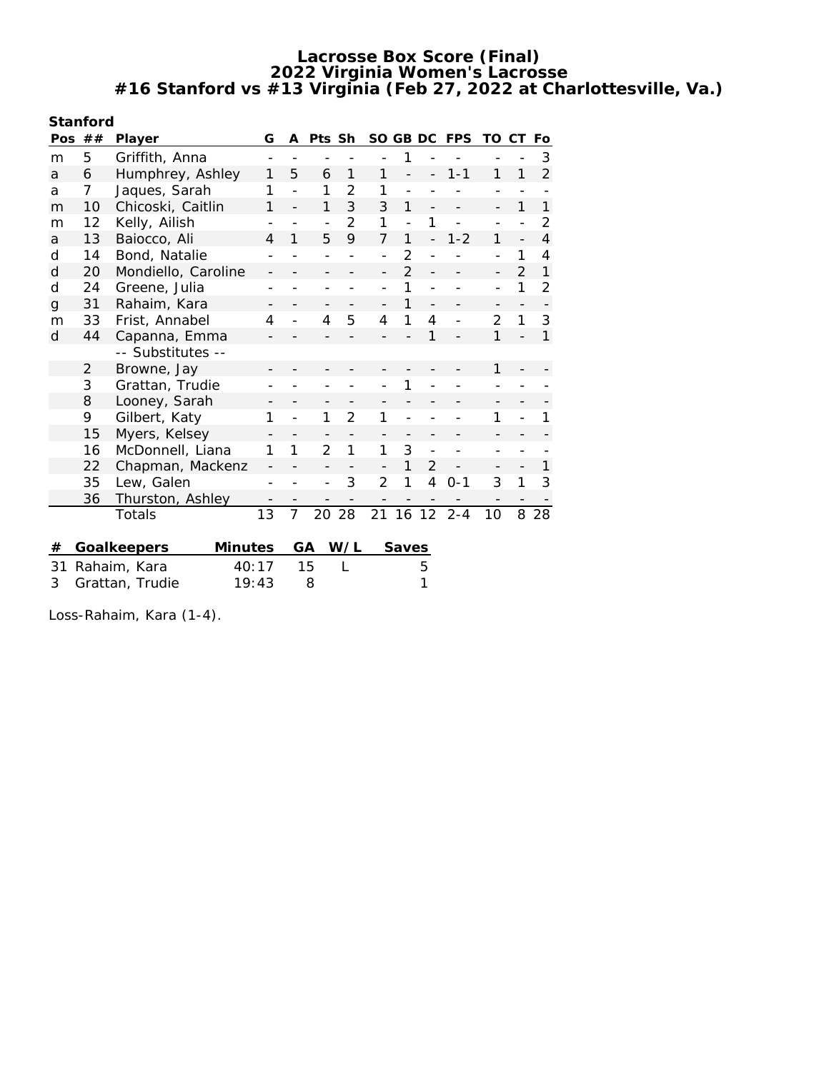| Stanford     |                |                                                                                                                  |    |              |                |                |                |                |                |            |                          |                |                |
|--------------|----------------|------------------------------------------------------------------------------------------------------------------|----|--------------|----------------|----------------|----------------|----------------|----------------|------------|--------------------------|----------------|----------------|
|              | Pos $##$       | Player                                                                                                           | G  | A            | Pts Sh         |                |                | SO GB DC       |                | <b>FPS</b> | TO                       | СT             | Fo             |
| m            | 5              | Griffith, Anna                                                                                                   |    |              |                |                |                | 1              |                |            |                          |                | 3              |
| a            | 6              | Humphrey, Ashley                                                                                                 | 1  | 5            | 6              | 1              | 1              |                |                | $1 - 1$    | 1                        | 1              | $\overline{2}$ |
| a            | 7              | Jaques, Sarah                                                                                                    | 1  |              | 1              | 2              | 1              |                |                |            |                          |                |                |
| m            | 10             | Chicoski, Caitlin                                                                                                | 1  |              | 1              | 3              | 3              | 1              |                |            |                          | 1              | 1              |
| m            | 12             | Kelly, Ailish                                                                                                    |    |              |                | 2              | 1              |                | 1              |            |                          |                | 2              |
| a            | 13             | Baiocco, Ali                                                                                                     | 4  | 1            | 5              | 9              | 7              | 1              |                | $1 - 2$    | 1                        |                | $\overline{4}$ |
| d            | 14             | Bond, Natalie                                                                                                    |    |              |                |                |                | 2              |                |            |                          | 1              | 4              |
| $\mathsf{d}$ | 20             | Mondiello, Caroline                                                                                              |    |              |                |                |                | $\overline{2}$ |                |            | $\overline{\phantom{a}}$ | $\overline{2}$ | 1              |
| d            | 24             | Greene, Julia                                                                                                    |    |              |                |                |                | 1              |                |            |                          | 1              | $\overline{2}$ |
| g            | 31             | Rahaim, Kara                                                                                                     |    |              |                |                |                | 1              |                |            |                          |                |                |
| m            | 33             | Frist, Annabel                                                                                                   | 4  |              | 4              | 5              | 4              | 1              | 4              |            | $\overline{2}$           | 1              | 3              |
| d            | 44             | Capanna, Emma                                                                                                    |    |              |                |                |                |                | 1              |            | $\mathbf{1}$             |                | $\mathbf{1}$   |
|              |                | -- Substitutes --                                                                                                |    |              |                |                |                |                |                |            |                          |                |                |
|              | $\overline{2}$ | Browne, Jay                                                                                                      |    |              |                |                |                |                |                |            | 1                        |                |                |
|              | 3              | Grattan, Trudie                                                                                                  |    |              |                |                |                | 1              |                |            |                          |                |                |
|              | 8              | Looney, Sarah                                                                                                    |    |              |                |                |                |                |                |            |                          |                |                |
|              | 9              | Gilbert, Katy                                                                                                    |    |              | 1              | $\overline{2}$ | 1              |                |                |            | 1                        |                | 1              |
|              | 15             | Myers, Kelsey                                                                                                    |    |              |                |                |                |                |                |            |                          |                |                |
|              | 16             | McDonnell, Liana                                                                                                 | 1  | $\mathbf{1}$ | $\overline{2}$ | $\mathbf{1}$   | 1              | 3              |                |            |                          |                |                |
|              | 22             | Chapman, Mackenz                                                                                                 |    |              |                |                |                |                | $\overline{2}$ |            |                          |                | 1              |
|              | 35             | Lew, Galen                                                                                                       |    |              |                | 3              | $\overline{2}$ | 1              | 4              | $0 - 1$    | 3                        | 1              | 3              |
|              | 36             |                                                                                                                  |    |              |                |                |                |                |                |            |                          |                |                |
|              |                |                                                                                                                  |    |              | 20             | 28             |                |                | 12             | $2 - 4$    | 10                       |                | 28             |
|              |                |                                                                                                                  |    |              |                |                |                |                |                |            |                          |                |                |
|              |                |                                                                                                                  |    |              |                |                |                |                |                |            |                          |                |                |
|              |                |                                                                                                                  |    |              |                |                |                |                |                |            |                          |                |                |
| #<br>31<br>3 |                | Thurston, Ashley<br>Totals<br>Goalkeepers<br><b>Minutes</b><br>40:17<br>Rahaim, Kara<br>Grattan, Trudie<br>19:43 | 13 | 7            | GA<br>15<br>8  | W/L            | 21             | 16<br>Saves    | 5<br>1         |            |                          | 8              |                |

Loss-Rahaim, Kara (1-4).